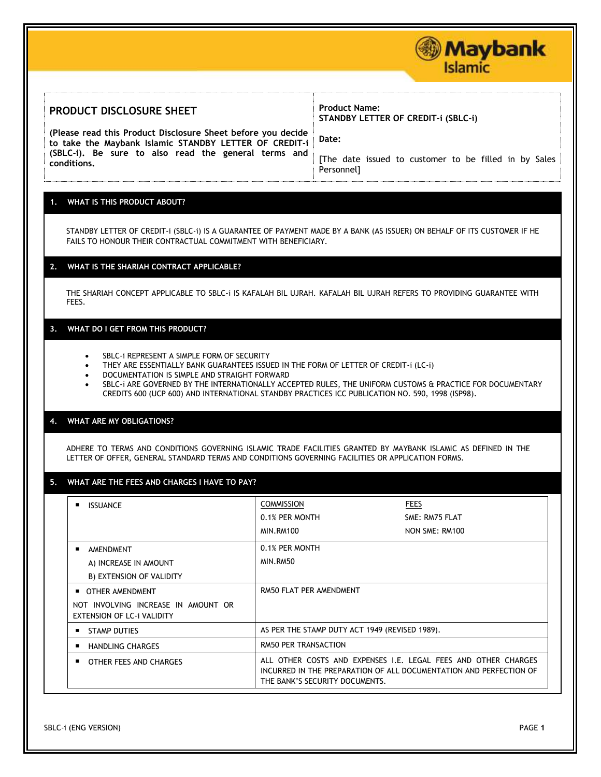## **PRODUCT DISCLOSURE SHEET**

**(Please read this Product Disclosure Sheet before you decide to take the Maybank Islamic STANDBY LETTER OF CREDIT-i (SBLC-i). Be sure to also read the general terms and conditions.** 

# **Product Name: STANDBY LETTER OF CREDIT-i (SBLC-i)**

**Date:** 

[The date issued to customer to be filled in by Sales Personnel]

**Maybank** 

**Islamic** 

## **1. WHAT IS THIS PRODUCT ABOUT?**

STANDBY LETTER OF CREDIT-i (SBLC-i) IS A GUARANTEE OF PAYMENT MADE BY A BANK (AS ISSUER) ON BEHALF OF ITS CUSTOMER IF HE FAILS TO HONOUR THEIR CONTRACTUAL COMMITMENT WITH BENEFICIARY.

### **2. WHAT IS THE SHARIAH CONTRACT APPLICABLE?**

THE SHARIAH CONCEPT APPLICABLE TO SBLC-i IS KAFALAH BIL UJRAH. KAFALAH BIL UJRAH REFERS TO PROVIDING GUARANTEE WITH FEES.

#### **3. WHAT DO I GET FROM THIS PRODUCT?**

- SBLC-i REPRESENT A SIMPLE FORM OF SECURITY
- THEY ARE ESSENTIALLY BANK GUARANTEES ISSUED IN THE FORM OF LETTER OF CREDIT-i (LC-i)
- DOCUMENTATION IS SIMPLE AND STRAIGHT FORWARD
- SBLC-i ARE GOVERNED BY THE INTERNATIONALLY ACCEPTED RULES, THE UNIFORM CUSTOMS & PRACTICE FOR DOCUMENTARY CREDITS 600 (UCP 600) AND INTERNATIONAL STANDBY PRACTICES ICC PUBLICATION NO. 590, 1998 (ISP98).

#### **4. WHAT ARE MY OBLIGATIONS?**

ADHERE TO TERMS AND CONDITIONS GOVERNING ISLAMIC TRADE FACILITIES GRANTED BY MAYBANK ISLAMIC AS DEFINED IN THE LETTER OF OFFER, GENERAL STANDARD TERMS AND CONDITIONS GOVERNING FACILITIES OR APPLICATION FORMS.

## **5. WHAT ARE THE FEES AND CHARGES I HAVE TO PAY?**

| <b>ISSUANCE</b>                                                          | <b>COMMISSION</b>                                                                                                                                                      | <b>FEES</b>    |
|--------------------------------------------------------------------------|------------------------------------------------------------------------------------------------------------------------------------------------------------------------|----------------|
|                                                                          | 0.1% PER MONTH                                                                                                                                                         | SME: RM75 FLAT |
|                                                                          | <b>MIN.RM100</b>                                                                                                                                                       | NON SME: RM100 |
| AMENDMENT                                                                | 0.1% PER MONTH                                                                                                                                                         |                |
| A) INCREASE IN AMOUNT                                                    | MIN.RM50                                                                                                                                                               |                |
| B) EXTENSION OF VALIDITY                                                 |                                                                                                                                                                        |                |
| <b>DE OTHER AMENDMENT</b>                                                | RM50 FLAT PER AMENDMENT                                                                                                                                                |                |
| NOT INVOLVING INCREASE IN AMOUNT OR<br><b>EXTENSION OF LC-i VALIDITY</b> |                                                                                                                                                                        |                |
| <b>STAMP DUTIES</b>                                                      | AS PER THE STAMP DUTY ACT 1949 (REVISED 1989).                                                                                                                         |                |
| <b>HANDLING CHARGES</b>                                                  | <b>RM50 PER TRANSACTION</b>                                                                                                                                            |                |
| OTHER FEES AND CHARGES                                                   | ALL OTHER COSTS AND EXPENSES I.E. LEGAL FEES AND OTHER CHARGES<br>INCURRED IN THE PREPARATION OF ALL DOCUMENTATION AND PERFECTION OF<br>THE BANK'S SECURITY DOCUMENTS. |                |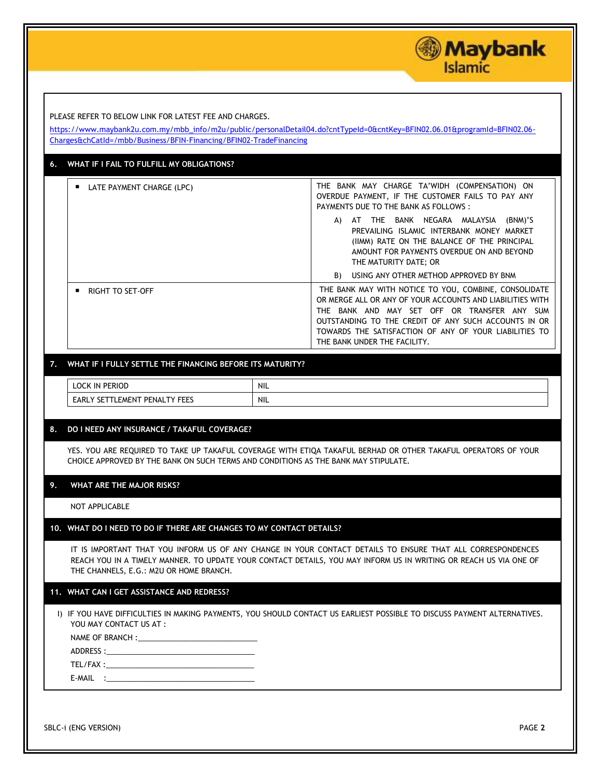|                                                                                                                              | <b>Maybank</b><br>Islamic                                                                                                                                                                                                                                                                                            |
|------------------------------------------------------------------------------------------------------------------------------|----------------------------------------------------------------------------------------------------------------------------------------------------------------------------------------------------------------------------------------------------------------------------------------------------------------------|
| PLEASE REFER TO BELOW LINK FOR LATEST FEE AND CHARGES.<br>Charges&chCatId=/mbb/Business/BFIN-Financing/BFIN02-TradeFinancing | https://www.maybank2u.com.my/mbb_info/m2u/public/personalDetail04.do?cntTypeId=0&cntKey=BFIN02.06.01&programId=BFIN02.06-                                                                                                                                                                                            |
| WHAT IF I FAIL TO FULFILL MY OBLIGATIONS?<br>6.                                                                              |                                                                                                                                                                                                                                                                                                                      |
| <b>LATE PAYMENT CHARGE (LPC)</b>                                                                                             | THE BANK MAY CHARGE TA'WIDH (COMPENSATION) ON<br>OVERDUE PAYMENT, IF THE CUSTOMER FAILS TO PAY ANY<br>PAYMENTS DUE TO THE BANK AS FOLLOWS :<br>A) AT THE BANK NEGARA MALAYSIA (BNM)'S<br>PREVAILING ISLAMIC INTERBANK MONEY MARKET<br>(IIMM) RATE ON THE BALANCE OF THE PRINCIPAL                                    |
|                                                                                                                              | AMOUNT FOR PAYMENTS OVERDUE ON AND BEYOND<br>THE MATURITY DATE; OR<br>USING ANY OTHER METHOD APPROVED BY BNM<br>B)                                                                                                                                                                                                   |
| <b>RIGHT TO SET-OFF</b>                                                                                                      | THE BANK MAY WITH NOTICE TO YOU, COMBINE, CONSOLIDATE<br>OR MERGE ALL OR ANY OF YOUR ACCOUNTS AND LIABILITIES WITH<br>THE BANK AND MAY SET OFF OR TRANSFER ANY SUM<br>OUTSTANDING TO THE CREDIT OF ANY SUCH ACCOUNTS IN OR<br>TOWARDS THE SATISFACTION OF ANY OF YOUR LIABILITIES TO<br>THE BANK UNDER THE FACILITY. |
| WHAT IF I FULLY SETTLE THE FINANCING BEFORE ITS MATURITY?<br>7.                                                              |                                                                                                                                                                                                                                                                                                                      |
| <b>LOCK IN PERIOD</b>                                                                                                        | <b>NIL</b>                                                                                                                                                                                                                                                                                                           |
| EARLY SETTLEMENT PENALTY FEES                                                                                                | NIL.                                                                                                                                                                                                                                                                                                                 |
| DO I NEED ANY INSURANCE / TAKAFUL COVERAGE?<br>8.                                                                            | YES. YOU ARE REQUIRED TO TAKE UP TAKAFUL COVERAGE WITH ETIQA TAKAFUL BERHAD OR OTHER TAKAFUL OPERATORS OF YOUR<br>CHOICE APPROVED BY THE BANK ON SUCH TERMS AND CONDITIONS AS THE BANK MAY STIPULATE.                                                                                                                |
| 9.<br>WHAT ARE THE MAJOR RISKS?                                                                                              |                                                                                                                                                                                                                                                                                                                      |
| NOT APPLICABLE                                                                                                               |                                                                                                                                                                                                                                                                                                                      |
|                                                                                                                              | 10. WHAT DO I NEED TO DO IF THERE ARE CHANGES TO MY CONTACT DETAILS?                                                                                                                                                                                                                                                 |
| THE CHANNELS, E.G.: M2U OR HOME BRANCH.                                                                                      | IT IS IMPORTANT THAT YOU INFORM US OF ANY CHANGE IN YOUR CONTACT DETAILS TO ENSURE THAT ALL CORRESPONDENCES<br>REACH YOU IN A TIMELY MANNER. TO UPDATE YOUR CONTACT DETAILS, YOU MAY INFORM US IN WRITING OR REACH US VIA ONE OF                                                                                     |
| 11. WHAT CAN I GET ASSISTANCE AND REDRESS?                                                                                   |                                                                                                                                                                                                                                                                                                                      |
| YOU MAY CONTACT US AT :                                                                                                      | I) IF YOU HAVE DIFFICULTIES IN MAKING PAYMENTS, YOU SHOULD CONTACT US EARLIEST POSSIBLE TO DISCUSS PAYMENT ALTERNATIVES.                                                                                                                                                                                             |